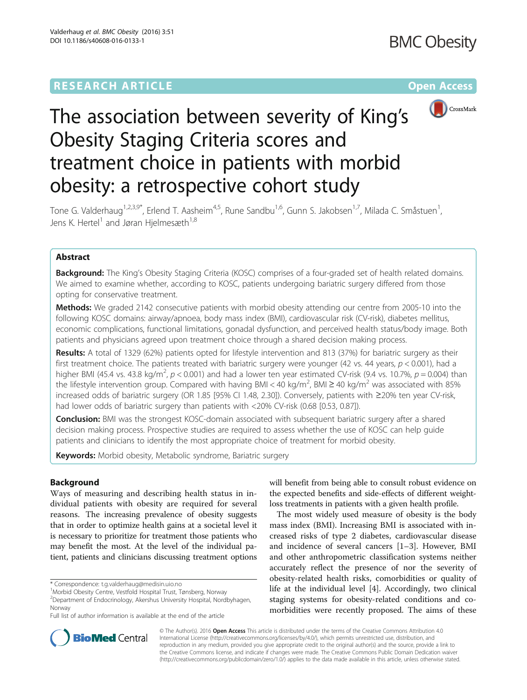

# The association between severity of King's Obesity Staging Criteria scores and treatment choice in patients with morbid obesity: a retrospective cohort study

Tone G. Valderhaug<sup>1,2,3,9\*</sup>, Erlend T. Aasheim<sup>4,5</sup>, Rune Sandbu<sup>1,6</sup>, Gunn S. Jakobsen<sup>1,7</sup>, Milada C. Småstuen<sup>1</sup>, , Jens K. Hertel<sup>1</sup> and Jøran Hielmesæth<sup>1,8</sup>

# Abstract

Background: The King's Obesity Staging Criteria (KOSC) comprises of a four-graded set of health related domains. We aimed to examine whether, according to KOSC, patients undergoing bariatric surgery differed from those opting for conservative treatment.

Methods: We graded 2142 consecutive patients with morbid obesity attending our centre from 2005-10 into the following KOSC domains: airway/apnoea, body mass index (BMI), cardiovascular risk (CV-risk), diabetes mellitus, economic complications, functional limitations, gonadal dysfunction, and perceived health status/body image. Both patients and physicians agreed upon treatment choice through a shared decision making process.

Results: A total of 1329 (62%) patients opted for lifestyle intervention and 813 (37%) for bariatric surgery as their first treatment choice. The patients treated with bariatric surgery were younger (42 vs. 44 years,  $p < 0.001$ ), had a higher BMI (45.4 vs. 43.8 kg/m<sup>2</sup>,  $p < 0.001$ ) and had a lower ten year estimated CV-risk (9.4 vs. 10.7%,  $p = 0.004$ ) than the lifestyle intervention group. Compared with having BMI < 40 kg/m<sup>2</sup>, BMI ≥ 40 kg/m<sup>2</sup> was associated with 85% increased odds of bariatric surgery (OR 1.85 [95% CI 1.48, 2.30]). Conversely, patients with ≥20% ten year CV-risk, had lower odds of bariatric surgery than patients with <20% CV-risk (0.68 [0.53, 0.87]).

**Conclusion:** BMI was the strongest KOSC-domain associated with subsequent bariatric surgery after a shared decision making process. Prospective studies are required to assess whether the use of KOSC can help guide patients and clinicians to identify the most appropriate choice of treatment for morbid obesity.

Keywords: Morbid obesity, Metabolic syndrome, Bariatric surgery

# Background

Ways of measuring and describing health status in individual patients with obesity are required for several reasons. The increasing prevalence of obesity suggests that in order to optimize health gains at a societal level it is necessary to prioritize for treatment those patients who may benefit the most. At the level of the individual patient, patients and clinicians discussing treatment options

will benefit from being able to consult robust evidence on the expected benefits and side-effects of different weightloss treatments in patients with a given health profile.

The most widely used measure of obesity is the body mass index (BMI). Increasing BMI is associated with increased risks of type 2 diabetes, cardiovascular disease and incidence of several cancers [[1](#page-6-0)–[3](#page-6-0)]. However, BMI and other anthropometric classification systems neither accurately reflect the presence of nor the severity of obesity-related health risks, comorbidities or quality of life at the individual level [\[4](#page-6-0)]. Accordingly, two clinical staging systems for obesity-related conditions and comorbidities were recently proposed. The aims of these



© The Author(s). 2016 Open Access This article is distributed under the terms of the Creative Commons Attribution 4.0 International License [\(http://creativecommons.org/licenses/by/4.0/](http://creativecommons.org/licenses/by/4.0/)), which permits unrestricted use, distribution, and reproduction in any medium, provided you give appropriate credit to the original author(s) and the source, provide a link to the Creative Commons license, and indicate if changes were made. The Creative Commons Public Domain Dedication waiver [\(http://creativecommons.org/publicdomain/zero/1.0/](http://creativecommons.org/publicdomain/zero/1.0/)) applies to the data made available in this article, unless otherwise stated.

<sup>\*</sup> Correspondence: [t.g.valderhaug@medisin.uio.no](mailto:t.g.valderhaug@medisin.uio.no) <sup>1</sup>

<sup>&</sup>lt;sup>1</sup>Morbid Obesity Centre, Vestfold Hospital Trust, Tønsberg, Norway

<sup>2</sup> Department of Endocrinology, Akershus University Hospital, Nordbyhagen, Norway

Full list of author information is available at the end of the article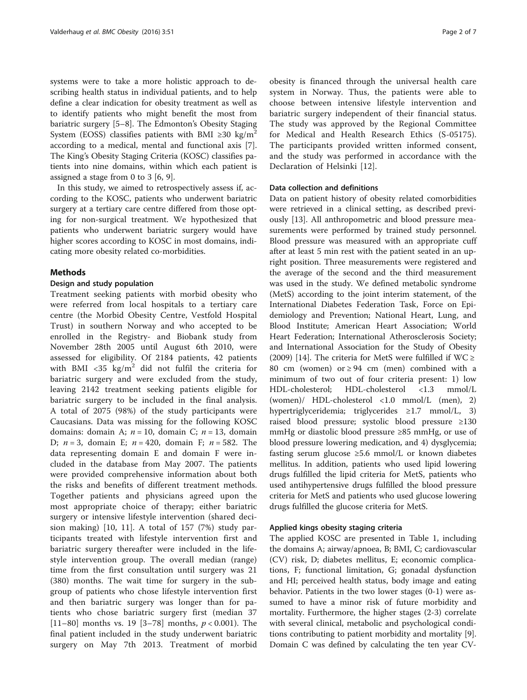systems were to take a more holistic approach to describing health status in individual patients, and to help define a clear indication for obesity treatment as well as to identify patients who might benefit the most from bariatric surgery [[5](#page-6-0)–[8](#page-6-0)]. The Edmonton's Obesity Staging System (EOSS) classifies patients with BMI ≥30 kg/m<sup>2</sup> according to a medical, mental and functional axis [\[7](#page-6-0)]. The King's Obesity Staging Criteria (KOSC) classifies patients into nine domains, within which each patient is assigned a stage from 0 to 3 [[6, 9\]](#page-6-0).

In this study, we aimed to retrospectively assess if, according to the KOSC, patients who underwent bariatric surgery at a tertiary care centre differed from those opting for non-surgical treatment. We hypothesized that patients who underwent bariatric surgery would have higher scores according to KOSC in most domains, indicating more obesity related co-morbidities.

# Methods

# Design and study population

Treatment seeking patients with morbid obesity who were referred from local hospitals to a tertiary care centre (the Morbid Obesity Centre, Vestfold Hospital Trust) in southern Norway and who accepted to be enrolled in the Registry- and Biobank study from November 28th 2005 until August 6th 2010, were assessed for eligibility. Of 2184 patients, 42 patients with BMI  $\langle 35 \text{ kg/m}^2 \rangle$  did not fulfil the criteria for bariatric surgery and were excluded from the study, leaving 2142 treatment seeking patients eligible for bariatric surgery to be included in the final analysis. A total of 2075 (98%) of the study participants were Caucasians. Data was missing for the following KOSC domains: domain A;  $n = 10$ , domain C;  $n = 13$ , domain D;  $n = 3$ , domain E;  $n = 420$ , domain F;  $n = 582$ . The data representing domain E and domain F were included in the database from May 2007. The patients were provided comprehensive information about both the risks and benefits of different treatment methods. Together patients and physicians agreed upon the most appropriate choice of therapy; either bariatric surgery or intensive lifestyle intervention (shared decision making) [[10](#page-6-0), [11\]](#page-6-0). A total of 157 (7%) study participants treated with lifestyle intervention first and bariatric surgery thereafter were included in the lifestyle intervention group. The overall median (range) time from the first consultation until surgery was 21 (380) months. The wait time for surgery in the subgroup of patients who chose lifestyle intervention first and then bariatric surgery was longer than for patients who chose bariatric surgery first (median 37 [11–80] months vs. 19 [3–78] months,  $p < 0.001$ ). The final patient included in the study underwent bariatric surgery on May 7th 2013. Treatment of morbid

obesity is financed through the universal health care system in Norway. Thus, the patients were able to choose between intensive lifestyle intervention and bariatric surgery independent of their financial status. The study was approved by the Regional Committee for Medical and Health Research Ethics (S-05175). The participants provided written informed consent, and the study was performed in accordance with the Declaration of Helsinki [[12\]](#page-6-0).

# Data collection and definitions

Data on patient history of obesity related comorbidities were retrieved in a clinical setting, as described previously [[13\]](#page-6-0). All anthropometric and blood pressure measurements were performed by trained study personnel. Blood pressure was measured with an appropriate cuff after at least 5 min rest with the patient seated in an upright position. Three measurements were registered and the average of the second and the third measurement was used in the study. We defined metabolic syndrome (MetS) according to the joint interim statement, of the International Diabetes Federation Task, Force on Epidemiology and Prevention; National Heart, Lung, and Blood Institute; American Heart Association; World Heart Federation; International Atherosclerosis Society; and International Association for the Study of Obesity (2009) [\[14\]](#page-6-0). The criteria for MetS were fulfilled if  $WC \ge$ 80 cm (women) or  $\geq$  94 cm (men) combined with a minimum of two out of four criteria present: 1) low HDL-cholesterol; HDL-cholesterol <1.3 mmol/L (women)/ HDL-cholesterol <1.0 mmol/L (men), 2) hypertriglyceridemia; triglycerides ≥1.7 mmol/L, 3) raised blood pressure; systolic blood pressure ≥130 mmHg or diastolic blood pressure ≥85 mmHg, or use of blood pressure lowering medication, and 4) dysglycemia; fasting serum glucose  $\geq 5.6$  mmol/L or known diabetes mellitus. In addition, patients who used lipid lowering drugs fulfilled the lipid criteria for MetS, patients who used antihypertensive drugs fulfilled the blood pressure criteria for MetS and patients who used glucose lowering drugs fulfilled the glucose criteria for MetS.

# Applied kings obesity staging criteria

The applied KOSC are presented in Table [1,](#page-2-0) including the domains A; airway/apnoea, B; BMI, C; cardiovascular (CV) risk, D; diabetes mellitus, E; economic complications, F; functional limitation, G; gonadal dysfunction and HI; perceived health status, body image and eating behavior. Patients in the two lower stages (0-1) were assumed to have a minor risk of future morbidity and mortality. Furthermore, the higher stages (2-3) correlate with several clinical, metabolic and psychological conditions contributing to patient morbidity and mortality [\[9](#page-6-0)]. Domain C was defined by calculating the ten year CV-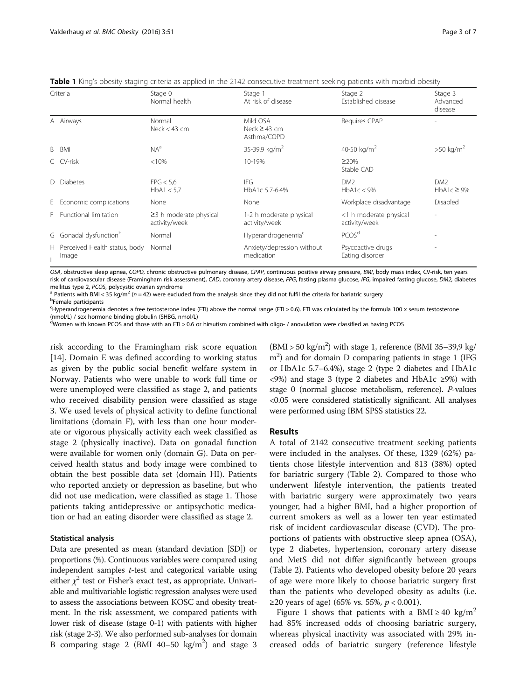<span id="page-2-0"></span>

|  |  | Table 1 King's obesity staging criteria as applied in the 2142 consecutive treatment seeking patients with morbid obesity |  |
|--|--|---------------------------------------------------------------------------------------------------------------------------|--|
|  |  |                                                                                                                           |  |

| Criteria |                                          | Stage 0<br>Normal health                      | Stage 1<br>At risk of disease                | Stage 2<br>Established disease          | Stage 3<br>Advanced<br>disease     |  |
|----------|------------------------------------------|-----------------------------------------------|----------------------------------------------|-----------------------------------------|------------------------------------|--|
|          | A Airways                                | Normal<br>Neck $<$ 43 cm                      | Mild OSA<br>Neck $\geq$ 43 cm<br>Asthma/COPD | Requires CPAP                           |                                    |  |
|          | B BMI                                    | $NA^a$                                        | 35-39.9 kg/m <sup>2</sup>                    | 40-50 kg/m <sup>2</sup>                 | $>50 \text{ kg/m}^2$               |  |
|          | C CV-risk                                | $<10\%$                                       | 10-19%                                       | $\geq$ 20%<br>Stable CAD                |                                    |  |
|          | D Diabetes                               | FPG < 5.6<br>HbA1 < 5.7                       | IFG<br>HbA1c 5.7-6.4%                        | DM <sub>2</sub><br>HbA1c < 9%           | DM <sub>2</sub><br>$HbA1c \geq 9%$ |  |
|          | E Economic complications                 | None                                          | None                                         | Workplace disadvantage                  | Disabled                           |  |
|          | F Functional limitation                  | $\geq$ 3 h moderate physical<br>activity/week | 1-2 h moderate physical<br>activity/week     | <1 h moderate physical<br>activity/week | $\overline{\phantom{a}}$           |  |
|          | G Gonadal dysfunction <sup>b</sup>       | Normal                                        | Hyperandrogenemia <sup>c</sup>               | PCOS <sup>d</sup>                       |                                    |  |
|          | H Perceived Health status, body<br>Image | Normal                                        | Anxiety/depression without<br>medication     | Psycoactive drugs<br>Eating disorder    |                                    |  |

OSA, obstructive sleep apnea, COPD, chronic obstructive pulmonary disease, CPAP, continuous positive airway pressure, BMI, body mass index, CV-risk, ten years risk of cardiovascular disease (Framingham risk assessment), CAD, coronary artery disease, FPG, fasting plasma glucose, IFG, impaired fasting glucose, DM2, diabetes mellitus type 2, PCOS, polycystic ovarian syndrome<br><sup>a</sup> Patients with BMI < 35 kg/m<sup>2</sup> (n = 42) were excluded from the analysis since they did not fulfil the criteria for bariatric surgery

**b**Female participants

c Hyperandrogenemia denotes a free testosterone index (FTI) above the normal range (FTI > 0.6). FTI was calculated by the formula 100 x serum testosterone (nmol/L) / sex hormone binding globulin (SHBG, nmol/L)

<sup>d</sup>Women with known PCOS and those with an FTI > 0.6 or hirsutism combined with oligo- / anovulation were classified as having PCOS

risk according to the Framingham risk score equation [[14\]](#page-6-0). Domain E was defined according to working status as given by the public social benefit welfare system in Norway. Patients who were unable to work full time or were unemployed were classified as stage 2, and patients who received disability pension were classified as stage 3. We used levels of physical activity to define functional limitations (domain F), with less than one hour moderate or vigorous physically activity each week classified as stage 2 (physically inactive). Data on gonadal function were available for women only (domain G). Data on perceived health status and body image were combined to obtain the best possible data set (domain HI). Patients who reported anxiety or depression as baseline, but who did not use medication, were classified as stage 1. Those patients taking antidepressive or antipsychotic medication or had an eating disorder were classified as stage 2.

# Statistical analysis

Data are presented as mean (standard deviation [SD]) or proportions (%). Continuous variables were compared using independent samples t-test and categorical variable using either  $\chi^2$  test or Fisher's exact test, as appropriate. Univariable and multivariable logistic regression analyses were used to assess the associations between KOSC and obesity treatment. In the risk assessment, we compared patients with lower risk of disease (stage 0-1) with patients with higher risk (stage 2-3). We also performed sub-analyses for domain B comparing stage 2 (BMI 40–50  $\text{kg/m}^2$ ) and stage 3

 $(BMI > 50 \text{ kg/m}^2)$  with stage 1, reference (BMI 35-39,9 kg/ m<sup>2</sup>) and for domain D comparing patients in stage 1 (IFG or HbA1c 5.7–6.4%), stage 2 (type 2 diabetes and HbA1c <9%) and stage 3 (type 2 diabetes and HbA1c ≥9%) with stage 0 (normal glucose metabolism, reference). P-values <0.05 were considered statistically significant. All analyses were performed using IBM SPSS statistics 22.

# Results

A total of 2142 consecutive treatment seeking patients were included in the analyses. Of these, 1329 (62%) patients chose lifestyle intervention and 813 (38%) opted for bariatric surgery (Table [2\)](#page-3-0). Compared to those who underwent lifestyle intervention, the patients treated with bariatric surgery were approximately two years younger, had a higher BMI, had a higher proportion of current smokers as well as a lower ten year estimated risk of incident cardiovascular disease (CVD). The proportions of patients with obstructive sleep apnea (OSA), type 2 diabetes, hypertension, coronary artery disease and MetS did not differ significantly between groups (Table [2\)](#page-3-0). Patients who developed obesity before 20 years of age were more likely to choose bariatric surgery first than the patients who developed obesity as adults (i.e. ≥20 years of age) (65% vs. 55%,  $p < 0.001$ ).

Figure [1](#page-4-0) shows that patients with a BMI  $\geq$  40 kg/m<sup>2</sup> had 85% increased odds of choosing bariatric surgery, whereas physical inactivity was associated with 29% increased odds of bariatric surgery (reference lifestyle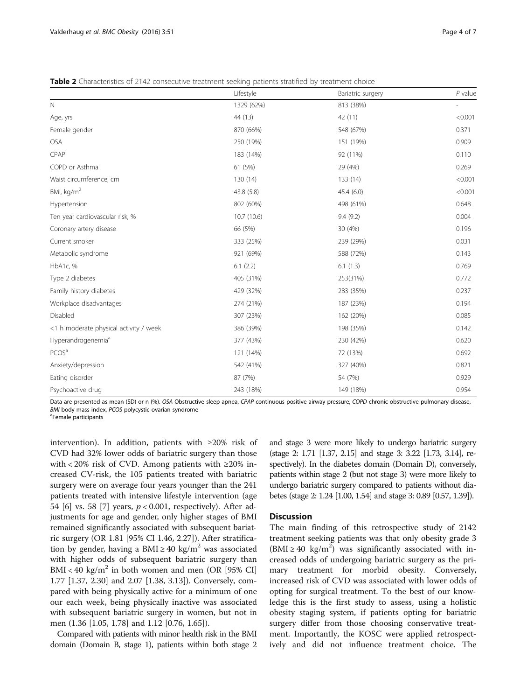<span id="page-3-0"></span>**Table 2** Characteristics of 2142 consecutive treatment seeking patients stratified by treatment choice

|                                        | Lifestyle  | Bariatric surgery | $P$ value |
|----------------------------------------|------------|-------------------|-----------|
| $\mathsf{N}$                           | 1329 (62%) | 813 (38%)         |           |
| Age, yrs                               | 44 (13)    | 42 (11)           | < 0.001   |
| Female gender                          | 870 (66%)  | 548 (67%)         | 0.371     |
| OSA                                    | 250 (19%)  | 151 (19%)         | 0.909     |
| CPAP                                   | 183 (14%)  | 92 (11%)          | 0.110     |
| COPD or Asthma                         | 61 (5%)    | 29 (4%)           | 0.269     |
| Waist circumference, cm                | 130 (14)   | 133(14)           | < 0.001   |
| BMI, $kg/m2$                           | 43.8 (5.8) | 45.4(6.0)         | < 0.001   |
| Hypertension                           | 802 (60%)  | 498 (61%)         | 0.648     |
| Ten year cardiovascular risk, %        | 10.7(10.6) | 9.4(9.2)          | 0.004     |
| Coronary artery disease                | 66 (5%)    | 30 (4%)           | 0.196     |
| Current smoker                         | 333 (25%)  | 239 (29%)         | 0.031     |
| Metabolic syndrome                     | 921 (69%)  | 588 (72%)         | 0.143     |
| HbA1c, %                               | 6.1(2.2)   | 6.1(1.3)          | 0.769     |
| Type 2 diabetes                        | 405 (31%)  | 253(31%)          | 0.772     |
| Family history diabetes                | 429 (32%)  | 283 (35%)         | 0.237     |
| Workplace disadvantages                | 274 (21%)  | 187 (23%)         | 0.194     |
| Disabled                               | 307 (23%)  | 162 (20%)         | 0.085     |
| <1 h moderate physical activity / week | 386 (39%)  | 198 (35%)         | 0.142     |
| Hyperandrogenemia <sup>a</sup>         | 377 (43%)  | 230 (42%)         | 0.620     |
| PCOS <sup>a</sup>                      | 121 (14%)  | 72 (13%)          | 0.692     |
| Anxiety/depression                     | 542 (41%)  | 327 (40%)         | 0.821     |
| Eating disorder                        | 87 (7%)    | 54 (7%)           | 0.929     |
| Psychoactive drug                      | 243 (18%)  | 149 (18%)         | 0.954     |

Data are presented as mean (SD) or n (%). OSA Obstructive sleep apnea, CPAP continuous positive airway pressure, COPD chronic obstructive pulmonary disease, BMI body mass index, PCOS polycystic ovarian syndrome

<sup>a</sup>Female participants

intervention). In addition, patients with ≥20% risk of CVD had 32% lower odds of bariatric surgery than those with < 20% risk of CVD. Among patients with  $\geq$ 20% increased CV-risk, the 105 patients treated with bariatric surgery were on average four years younger than the 241 patients treated with intensive lifestyle intervention (age 54 [\[6](#page-6-0)] vs. 58 [[7\]](#page-6-0) years,  $p < 0.001$ , respectively). After adjustments for age and gender, only higher stages of BMI remained significantly associated with subsequent bariatric surgery (OR 1.81 [95% CI 1.46, 2.27]). After stratification by gender, having a BMI ≥ 40 kg/m<sup>2</sup> was associated with higher odds of subsequent bariatric surgery than  $BMI < 40$  kg/m<sup>2</sup> in both women and men (OR [95% CI] 1.77 [1.37, 2.30] and 2.07 [1.38, 3.13]). Conversely, compared with being physically active for a minimum of one our each week, being physically inactive was associated with subsequent bariatric surgery in women, but not in men (1.36 [1.05, 1.78] and 1.12 [0.76, 1.65]).

Compared with patients with minor health risk in the BMI domain (Domain B, stage 1), patients within both stage 2 and stage 3 were more likely to undergo bariatric surgery (stage 2: 1.71 [1.37, 2.15] and stage 3: 3.22 [1.73, 3.14], respectively). In the diabetes domain (Domain D), conversely, patients within stage 2 (but not stage 3) were more likely to undergo bariatric surgery compared to patients without diabetes (stage 2: 1.24 [1.00, 1.54] and stage 3: 0.89 [0.57, 1.39]).

# **Discussion**

The main finding of this retrospective study of 2142 treatment seeking patients was that only obesity grade 3 (BMI  $\geq$  40 kg/m<sup>2</sup>) was significantly associated with increased odds of undergoing bariatric surgery as the primary treatment for morbid obesity. Conversely, increased risk of CVD was associated with lower odds of opting for surgical treatment. To the best of our knowledge this is the first study to assess, using a holistic obesity staging system, if patients opting for bariatric surgery differ from those choosing conservative treatment. Importantly, the KOSC were applied retrospectively and did not influence treatment choice. The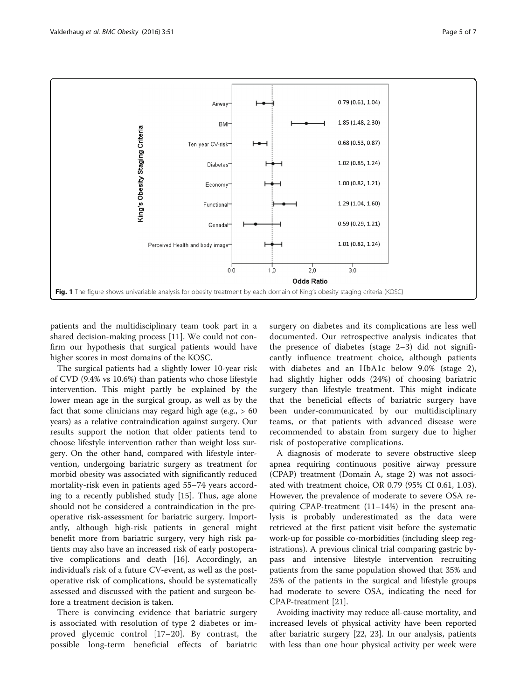<span id="page-4-0"></span>

patients and the multidisciplinary team took part in a shared decision-making process [[11\]](#page-6-0). We could not confirm our hypothesis that surgical patients would have higher scores in most domains of the KOSC.

The surgical patients had a slightly lower 10-year risk of CVD (9.4% vs 10.6%) than patients who chose lifestyle intervention. This might partly be explained by the lower mean age in the surgical group, as well as by the fact that some clinicians may regard high age (e.g.,  $> 60$ years) as a relative contraindication against surgery. Our results support the notion that older patients tend to choose lifestyle intervention rather than weight loss surgery. On the other hand, compared with lifestyle intervention, undergoing bariatric surgery as treatment for morbid obesity was associated with significantly reduced mortality-risk even in patients aged 55–74 years according to a recently published study [\[15](#page-6-0)]. Thus, age alone should not be considered a contraindication in the preoperative risk-assessment for bariatric surgery. Importantly, although high-risk patients in general might benefit more from bariatric surgery, very high risk patients may also have an increased risk of early postoperative complications and death [\[16\]](#page-6-0). Accordingly, an individual's risk of a future CV-event, as well as the postoperative risk of complications, should be systematically assessed and discussed with the patient and surgeon before a treatment decision is taken.

There is convincing evidence that bariatric surgery is associated with resolution of type 2 diabetes or improved glycemic control [\[17](#page-6-0)–[20](#page-6-0)]. By contrast, the possible long-term beneficial effects of bariatric

surgery on diabetes and its complications are less well documented. Our retrospective analysis indicates that the presence of diabetes (stage 2–3) did not significantly influence treatment choice, although patients with diabetes and an HbA1c below 9.0% (stage 2), had slightly higher odds (24%) of choosing bariatric surgery than lifestyle treatment. This might indicate that the beneficial effects of bariatric surgery have been under-communicated by our multidisciplinary teams, or that patients with advanced disease were recommended to abstain from surgery due to higher risk of postoperative complications.

A diagnosis of moderate to severe obstructive sleep apnea requiring continuous positive airway pressure (CPAP) treatment (Domain A, stage 2) was not associated with treatment choice, OR 0.79 (95% CI 0.61, 1.03). However, the prevalence of moderate to severe OSA requiring CPAP-treatment (11–14%) in the present analysis is probably underestimated as the data were retrieved at the first patient visit before the systematic work-up for possible co-morbidities (including sleep registrations). A previous clinical trial comparing gastric bypass and intensive lifestyle intervention recruiting patients from the same population showed that 35% and 25% of the patients in the surgical and lifestyle groups had moderate to severe OSA, indicating the need for CPAP-treatment [\[21](#page-6-0)].

Avoiding inactivity may reduce all-cause mortality, and increased levels of physical activity have been reported after bariatric surgery [[22](#page-6-0), [23](#page-6-0)]. In our analysis, patients with less than one hour physical activity per week were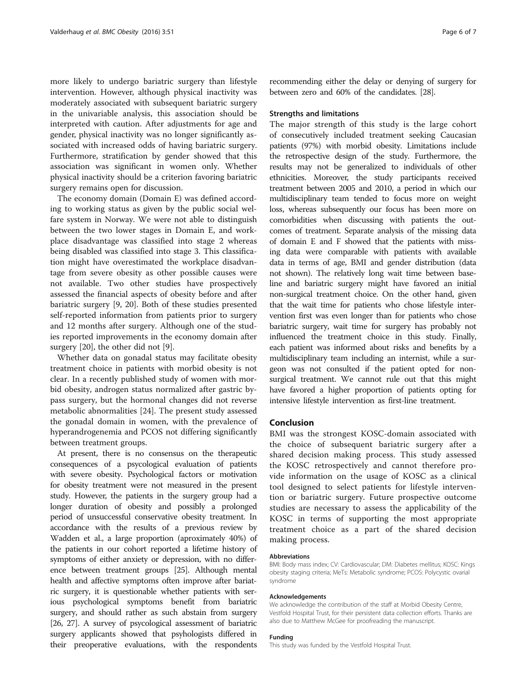more likely to undergo bariatric surgery than lifestyle intervention. However, although physical inactivity was moderately associated with subsequent bariatric surgery in the univariable analysis, this association should be interpreted with caution. After adjustments for age and gender, physical inactivity was no longer significantly associated with increased odds of having bariatric surgery. Furthermore, stratification by gender showed that this association was significant in women only. Whether physical inactivity should be a criterion favoring bariatric surgery remains open for discussion.

The economy domain (Domain E) was defined according to working status as given by the public social welfare system in Norway. We were not able to distinguish between the two lower stages in Domain E, and workplace disadvantage was classified into stage 2 whereas being disabled was classified into stage 3. This classification might have overestimated the workplace disadvantage from severe obesity as other possible causes were not available. Two other studies have prospectively assessed the financial aspects of obesity before and after bariatric surgery [[9, 20](#page-6-0)]. Both of these studies presented self-reported information from patients prior to surgery and 12 months after surgery. Although one of the studies reported improvements in the economy domain after surgery [[20\]](#page-6-0), the other did not [\[9\]](#page-6-0).

Whether data on gonadal status may facilitate obesity treatment choice in patients with morbid obesity is not clear. In a recently published study of women with morbid obesity, androgen status normalized after gastric bypass surgery, but the hormonal changes did not reverse metabolic abnormalities [\[24](#page-6-0)]. The present study assessed the gonadal domain in women, with the prevalence of hyperandrogenemia and PCOS not differing significantly between treatment groups.

At present, there is no consensus on the therapeutic consequences of a psycological evaluation of patients with severe obesity. Psychological factors or motivation for obesity treatment were not measured in the present study. However, the patients in the surgery group had a longer duration of obesity and possibly a prolonged period of unsuccessful conservative obesity treatment. In accordance with the results of a previous review by Wadden et al., a large proportion (aproximately 40%) of the patients in our cohort reported a lifetime history of symptoms of either anxiety or depression, with no difference between treatment groups [[25](#page-6-0)]. Although mental health and affective symptoms often improve after bariatric surgery, it is questionable whether patients with serious psychological symptoms benefit from bariatric surgery, and should rather as such abstain from surgery [[26](#page-6-0), [27\]](#page-6-0). A survey of psycological assessment of bariatric surgery applicants showed that psyhologists differed in their preoperative evaluations, with the respondents

recommending either the delay or denying of surgery for between zero and 60% of the candidates. [\[28](#page-6-0)].

# Strengths and limitations

The major strength of this study is the large cohort of consecutively included treatment seeking Caucasian patients (97%) with morbid obesity. Limitations include the retrospective design of the study. Furthermore, the results may not be generalized to individuals of other ethnicities. Moreover, the study participants received treatment between 2005 and 2010, a period in which our multidisciplinary team tended to focus more on weight loss, whereas subsequently our focus has been more on comorbidities when discussing with patients the outcomes of treatment. Separate analysis of the missing data of domain E and F showed that the patients with missing data were comparable with patients with available data in terms of age, BMI and gender distribution (data not shown). The relatively long wait time between baseline and bariatric surgery might have favored an initial non-surgical treatment choice. On the other hand, given that the wait time for patients who chose lifestyle intervention first was even longer than for patients who chose bariatric surgery, wait time for surgery has probably not influenced the treatment choice in this study. Finally, each patient was informed about risks and benefits by a multidisciplinary team including an internist, while a surgeon was not consulted if the patient opted for nonsurgical treatment. We cannot rule out that this might have favored a higher proportion of patients opting for intensive lifestyle intervention as first-line treatment.

# Conclusion

BMI was the strongest KOSC-domain associated with the choice of subsequent bariatric surgery after a shared decision making process. This study assessed the KOSC retrospectively and cannot therefore provide information on the usage of KOSC as a clinical tool designed to select patients for lifestyle intervention or bariatric surgery. Future prospective outcome studies are necessary to assess the applicability of the KOSC in terms of supporting the most appropriate treatment choice as a part of the shared decision making process.

#### Abbreviations

BMI: Body mass index; CV: Cardiovascular; DM: Diabetes mellitus; KOSC: Kings obesity staging criteria; MeTs: Metabolic syndrome; PCOS: Polycystic ovarial syndrome

#### Acknowledgements

We acknowledge the contribution of the staff at Morbid Obesity Centre, Vestfold Hospital Trust, for their persistent data collection efforts. Thanks are also due to Matthew McGee for proofreading the manuscript.

# Funding

This study was funded by the Vestfold Hospital Trust.